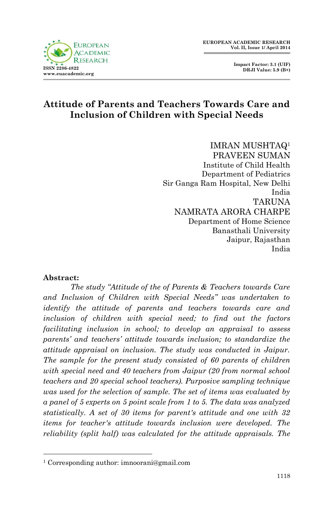



## **Attitude of Parents and Teachers Towards Care and Inclusion of Children with Special Needs**

IMRAN MUSHTAQ<sup>1</sup> PRAVEEN SUMAN Institute of Child Health Department of Pediatrics Sir Ganga Ram Hospital, New Delhi India **TARIJNA** NAMRATA ARORA CHARPE Department of Home Science Banasthali University Jaipur, Rajasthan India

#### **Abstract:**

1

*The study "Attitude of the of Parents & Teachers towards Care and Inclusion of Children with Special Needs" was undertaken to identify the attitude of parents and teachers towards care and inclusion of children with special need; to find out the factors facilitating inclusion in school; to develop an appraisal to assess parents' and teachers' attitude towards inclusion; to standardize the attitude appraisal on inclusion. The study was conducted in Jaipur. The sample for the present study consisted of 60 parents of children with special need and 40 teachers from Jaipur (20 from normal school teachers and 20 special school teachers). Purposive sampling technique was used for the selection of sample. The set of items was evaluated by a panel of 5 experts on 5 point scale from 1 to 5. The data was analyzed statistically. A set of 30 items for parent's attitude and one with 32 items for teacher's attitude towards inclusion were developed. The reliability (split half) was calculated for the attitude appraisals. The* 

<sup>1</sup> Corresponding author: imnoorani@gmail.com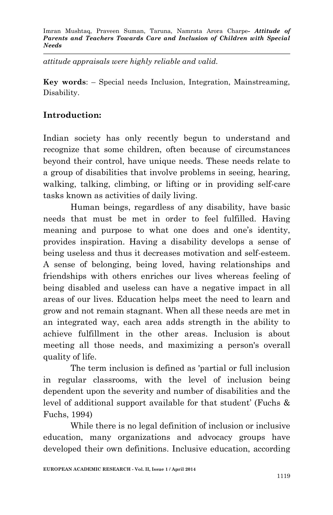*attitude appraisals were highly reliable and valid.*

**Key words**: – Special needs Inclusion, Integration, Mainstreaming, Disability.

### **Introduction:**

Indian society has only recently begun to understand and recognize that some children, often because of circumstances beyond their control, have unique needs. These needs relate to a group of disabilities that involve problems in seeing, hearing, walking, talking, climbing, or lifting or in providing self-care tasks known as activities of daily living.

Human beings, regardless of any disability, have basic needs that must be met in order to feel fulfilled. Having meaning and purpose to what one does and one's identity, provides inspiration. Having a disability develops a sense of being useless and thus it decreases motivation and self-esteem. A sense of belonging, being loved, having relationships and friendships with others enriches our lives whereas feeling of being disabled and useless can have a negative impact in all areas of our lives. Education helps meet the need to learn and grow and not remain stagnant. When all these needs are met in an integrated way, each area adds strength in the ability to achieve fulfillment in the other areas. Inclusion is about meeting all those needs, and maximizing a person's overall quality of life.

The term inclusion is defined as 'partial or full inclusion in regular classrooms, with the level of inclusion being dependent upon the severity and number of disabilities and the level of additional support available for that student' (Fuchs & Fuchs, 1994)

While there is no legal definition of inclusion or inclusive education, many organizations and advocacy groups have developed their own definitions. Inclusive education, according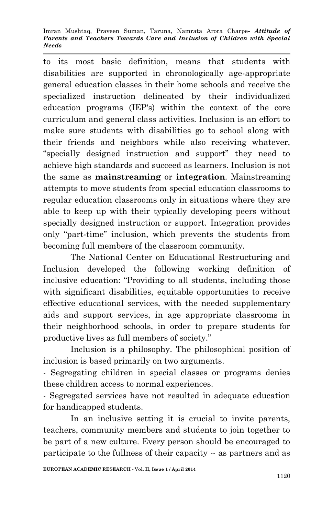to its most basic definition, means that students with disabilities are supported in chronologically age-appropriate general education classes in their home schools and receive the specialized instruction delineated by their individualized education programs (IEP's) within the context of the core curriculum and general class activities. Inclusion is an effort to make sure students with disabilities go to school along with their friends and neighbors while also receiving whatever, "specially designed instruction and support" they need to achieve high standards and succeed as learners. Inclusion is not the same as **mainstreaming** or **integration**. Mainstreaming attempts to move students from special education classrooms to regular education classrooms only in situations where they are able to keep up with their typically developing peers without specially designed instruction or support. Integration provides only "part-time" inclusion, which prevents the students from becoming full members of the classroom community.

The National Center on Educational Restructuring and Inclusion developed the following working definition of inclusive education: "Providing to all students, including those with significant disabilities, equitable opportunities to receive effective educational services, with the needed supplementary aids and support services, in age appropriate classrooms in their neighborhood schools, in order to prepare students for productive lives as full members of society."

Inclusion is a philosophy. The philosophical position of inclusion is based primarily on two arguments.

- Segregating children in special classes or programs denies these children access to normal experiences.

- Segregated services have not resulted in adequate education for handicapped students.

In an inclusive setting it is crucial to invite parents, teachers, community members and students to join together to be part of a new culture. Every person should be encouraged to participate to the fullness of their capacity -- as partners and as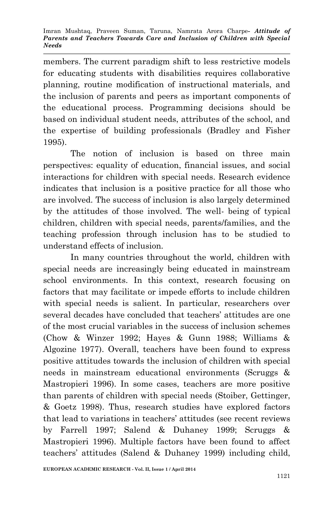members. The current paradigm shift to less restrictive models for educating students with disabilities requires collaborative planning, routine modification of instructional materials, and the inclusion of parents and peers as important components of the educational process. Programming decisions should be based on individual student needs, attributes of the school, and the expertise of building professionals (Bradley and Fisher 1995).

The notion of inclusion is based on three main perspectives: equality of education, financial issues, and social interactions for children with special needs. Research evidence indicates that inclusion is a positive practice for all those who are involved. The success of inclusion is also largely determined by the attitudes of those involved. The well- being of typical children, children with special needs, parents/families, and the teaching profession through inclusion has to be studied to understand effects of inclusion.

In many countries throughout the world, children with special needs are increasingly being educated in mainstream school environments. In this context, research focusing on factors that may facilitate or impede efforts to include children with special needs is salient. In particular, researchers over several decades have concluded that teachers' attitudes are one of the most crucial variables in the success of inclusion schemes (Chow & Winzer 1992; Hayes & Gunn 1988; Williams & Algozine 1977). Overall, teachers have been found to express positive attitudes towards the inclusion of children with special needs in mainstream educational environments (Scruggs & Mastropieri 1996). In some cases, teachers are more positive than parents of children with special needs (Stoiber, Gettinger, & Goetz 1998). Thus, research studies have explored factors that lead to variations in teachers' attitudes (see recent reviews by Farrell 1997; Salend & Duhaney 1999; Scruggs & Mastropieri 1996). Multiple factors have been found to affect teachers' attitudes (Salend & Duhaney 1999) including child,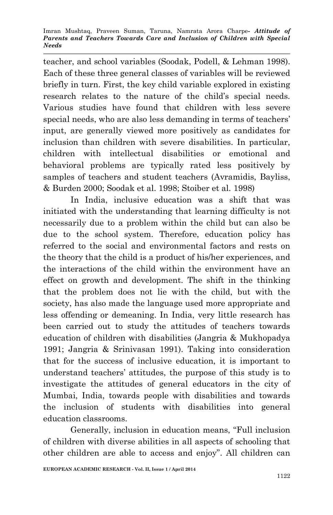teacher, and school variables (Soodak, Podell, & Lehman 1998). Each of these three general classes of variables will be reviewed briefly in turn. First, the key child variable explored in existing research relates to the nature of the child's special needs. Various studies have found that children with less severe special needs, who are also less demanding in terms of teachers' input, are generally viewed more positively as candidates for inclusion than children with severe disabilities. In particular, children with intellectual disabilities or emotional and behavioral problems are typically rated less positively by samples of teachers and student teachers (Avramidis, Bayliss, & Burden 2000; Soodak et al. 1998; Stoiber et al. 1998)

In India, inclusive education was a shift that was initiated with the understanding that learning difficulty is not necessarily due to a problem within the child but can also be due to the school system. Therefore, education policy has referred to the social and environmental factors and rests on the theory that the child is a product of his/her experiences, and the interactions of the child within the environment have an effect on growth and development. The shift in the thinking that the problem does not lie with the child, but with the society, has also made the language used more appropriate and less offending or demeaning. In India, very little research has been carried out to study the attitudes of teachers towards education of children with disabilities (Jangria & Mukhopadya 1991; Jangria & Srinivasan 1991). Taking into consideration that for the success of inclusive education, it is important to understand teachers' attitudes, the purpose of this study is to investigate the attitudes of general educators in the city of Mumbai, India, towards people with disabilities and towards the inclusion of students with disabilities into general education classrooms.

Generally, inclusion in education means, "Full inclusion of children with diverse abilities in all aspects of schooling that other children are able to access and enjoy". All children can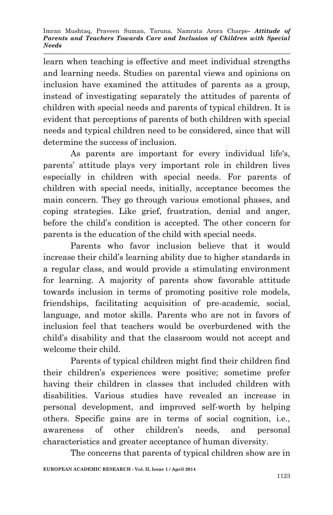learn when teaching is effective and meet individual strengths and learning needs. Studies on parental views and opinions on inclusion have examined the attitudes of parents as a group, instead of investigating separately the attitudes of parents of children with special needs and parents of typical children. It is evident that perceptions of parents of both children with special needs and typical children need to be considered, since that will determine the success of inclusion.

As parents are important for every individual life's, parents' attitude plays very important role in children lives especially in children with special needs. For parents of children with special needs, initially, acceptance becomes the main concern. They go through various emotional phases, and coping strategies. Like grief, frustration, denial and anger, before the child's condition is accepted. The other concern for parents is the education of the child with special needs.

Parents who favor inclusion believe that it would increase their child's learning ability due to higher standards in a regular class, and would provide a stimulating environment for learning. A majority of parents show favorable attitude towards inclusion in terms of promoting positive role models, friendships, facilitating acquisition of pre-academic, social, language, and motor skills. Parents who are not in favors of inclusion feel that teachers would be overburdened with the child's disability and that the classroom would not accept and welcome their child.

Parents of typical children might find their children find their children's experiences were positive; sometime prefer having their children in classes that included children with disabilities. Various studies have revealed an increase in personal development, and improved self-worth by helping others. Specific gains are in terms of social cognition, i.e., awareness of other children's needs, and personal characteristics and greater acceptance of human diversity.

The concerns that parents of typical children show are in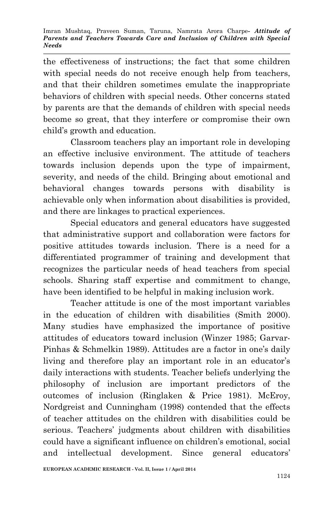the effectiveness of instructions; the fact that some children with special needs do not receive enough help from teachers, and that their children sometimes emulate the inappropriate behaviors of children with special needs. Other concerns stated by parents are that the demands of children with special needs become so great, that they interfere or compromise their own child's growth and education.

Classroom teachers play an important role in developing an effective inclusive environment. The attitude of teachers towards inclusion depends upon the type of impairment, severity, and needs of the child. Bringing about emotional and behavioral changes towards persons with disability is achievable only when information about disabilities is provided, and there are linkages to practical experiences.

Special educators and general educators have suggested that administrative support and collaboration were factors for positive attitudes towards inclusion. There is a need for a differentiated programmer of training and development that recognizes the particular needs of head teachers from special schools. Sharing staff expertise and commitment to change, have been identified to be helpful in making inclusion work.

Teacher attitude is one of the most important variables in the education of children with disabilities (Smith 2000). Many studies have emphasized the importance of positive attitudes of educators toward inclusion (Winzer 1985; Garvar-Pinhas & Schmelkin 1989). Attitudes are a factor in one's daily living and therefore play an important role in an educator's daily interactions with students. Teacher beliefs underlying the philosophy of inclusion are important predictors of the outcomes of inclusion (Ringlaken & Price 1981). McEroy, Nordgreist and Cunningham (1998) contended that the effects of teacher attitudes on the children with disabilities could be serious. Teachers' judgments about children with disabilities could have a significant influence on children's emotional, social and intellectual development. Since general educators'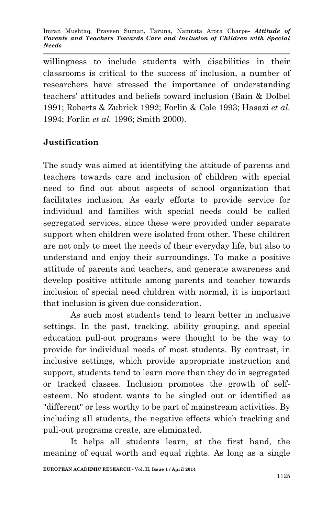willingness to include students with disabilities in their classrooms is critical to the success of inclusion, a number of researchers have stressed the importance of understanding teachers' attitudes and beliefs toward inclusion (Bain & Dolbel 1991; Roberts & Zubrick 1992; Forlin & Cole 1993; Hasazi *et al.* 1994; Forlin *et al.* 1996; Smith 2000).

## **Justification**

The study was aimed at identifying the attitude of parents and teachers towards care and inclusion of children with special need to find out about aspects of school organization that facilitates inclusion. As early efforts to provide service for individual and families with special needs could be called segregated services, since these were provided under separate support when children were isolated from other. These children are not only to meet the needs of their everyday life, but also to understand and enjoy their surroundings. To make a positive attitude of parents and teachers, and generate awareness and develop positive attitude among parents and teacher towards inclusion of special need children with normal, it is important that inclusion is given due consideration.

As such most students tend to learn better in inclusive settings. In the past, tracking, ability grouping, and special education pull-out programs were thought to be the way to provide for individual needs of most students. By contrast, in inclusive settings, which provide appropriate instruction and support, students tend to learn more than they do in segregated or tracked classes. Inclusion promotes the growth of selfesteem. No student wants to be singled out or identified as "different" or less worthy to be part of mainstream activities. By including all students, the negative effects which tracking and pull-out programs create, are eliminated.

It helps all students learn, at the first hand, the meaning of equal worth and equal rights. As long as a single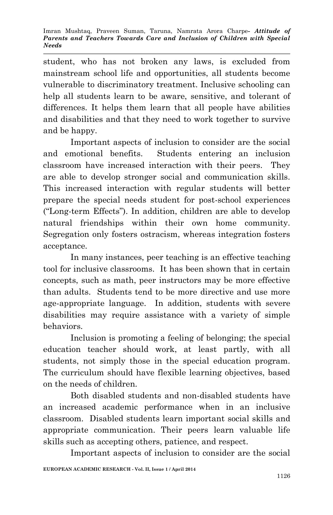student, who has not broken any laws, is excluded from mainstream school life and opportunities, all students become vulnerable to discriminatory treatment. Inclusive schooling can help all students learn to be aware, sensitive, and tolerant of differences. It helps them learn that all people have abilities and disabilities and that they need to work together to survive and be happy.

Important aspects of inclusion to consider are the social and emotional benefits. Students entering an inclusion classroom have increased interaction with their peers. They are able to develop stronger social and communication skills. This increased interaction with regular students will better prepare the special needs student for post-school experiences ("Long-term Effects"). In addition, children are able to develop natural friendships within their own home community. Segregation only fosters ostracism, whereas integration fosters acceptance.

In many instances, peer teaching is an effective teaching tool for inclusive classrooms. It has been shown that in certain concepts, such as math, peer instructors may be more effective than adults. Students tend to be more directive and use more age-appropriate language. In addition, students with severe disabilities may require assistance with a variety of simple behaviors.

Inclusion is promoting a feeling of belonging; the special education teacher should work, at least partly, with all students, not simply those in the special education program. The curriculum should have flexible learning objectives, based on the needs of children.

Both disabled students and non-disabled students have an increased academic performance when in an inclusive classroom. Disabled students learn important social skills and appropriate communication. Their peers learn valuable life skills such as accepting others, patience, and respect.

Important aspects of inclusion to consider are the social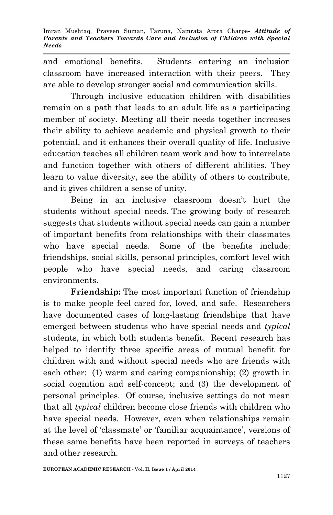and emotional benefits. Students entering an inclusion classroom have increased interaction with their peers. They are able to develop stronger social and communication skills.

Through inclusive education children with disabilities remain on a path that leads to an adult life as a participating member of society. Meeting all their needs together increases their ability to achieve academic and physical growth to their potential, and it enhances their overall quality of life. Inclusive education teaches all children team work and how to interrelate and function together with others of different abilities. They learn to value diversity, see the ability of others to contribute, and it gives children a sense of unity.

Being in an inclusive classroom doesn't hurt the students without special needs. The growing body of research suggests that students without special needs can gain a number of important benefits from relationships with their classmates who have special needs. Some of the benefits include: friendships, social skills, personal principles, comfort level with people who have special needs, and caring classroom environments.

**Friendship:** The most important function of friendship is to make people feel cared for, loved, and safe. Researchers have documented cases of long-lasting friendships that have emerged between students who have special needs and *typical* students, in which both students benefit. Recent research has helped to identify three specific areas of mutual benefit for children with and without special needs who are friends with each other: (1) warm and caring companionship; (2) growth in social cognition and self-concept; and (3) the development of personal principles. Of course, inclusive settings do not mean that all *typical* children become close friends with children who have special needs. However, even when relationships remain at the level of 'classmate' or 'familiar acquaintance', versions of these same benefits have been reported in surveys of teachers and other research.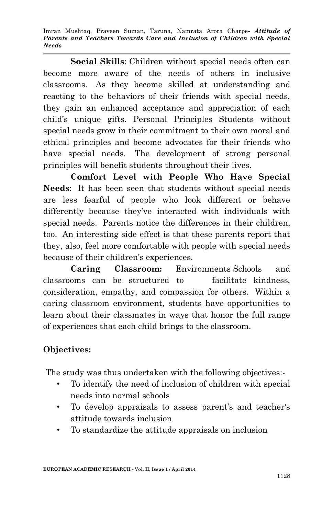**Social Skills**: Children without special needs often can become more aware of the needs of others in inclusive classrooms. As they become skilled at understanding and reacting to the behaviors of their friends with special needs, they gain an enhanced acceptance and appreciation of each child's unique gifts. Personal Principles Students without special needs grow in their commitment to their own moral and ethical principles and become advocates for their friends who have special needs. The development of strong personal principles will benefit students throughout their lives.

**Comfort Level with People Who Have Special Needs**: It has been seen that students without special needs are less fearful of people who look different or behave differently because they've interacted with individuals with special needs. Parents notice the differences in their children, too. An interesting side effect is that these parents report that they, also, feel more comfortable with people with special needs because of their children's experiences.

**Caring Classroom:** Environments Schools and classrooms can be structured to facilitate kindness, consideration, empathy, and compassion for others. Within a caring classroom environment, students have opportunities to learn about their classmates in ways that honor the full range of experiences that each child brings to the classroom.

## **Objectives:**

The study was thus undertaken with the following objectives:-

- To identify the need of inclusion of children with special needs into normal schools
- To develop appraisals to assess parent's and teacher's attitude towards inclusion
- To standardize the attitude appraisals on inclusion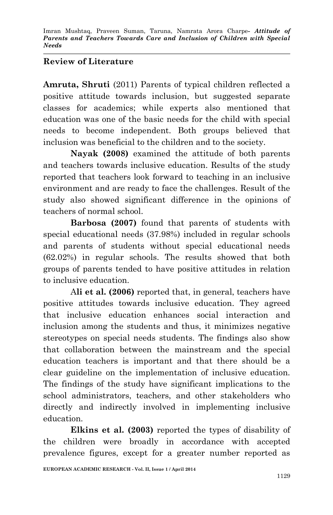### **Review of Literature**

**Amruta, Shruti** (2011) Parents of typical children reflected a positive attitude towards inclusion, but suggested separate classes for academics; while experts also mentioned that education was one of the basic needs for the child with special needs to become independent. Both groups believed that inclusion was beneficial to the children and to the society.

**Nayak (2008)** examined the attitude of both parents and teachers towards inclusive education. Results of the study reported that teachers look forward to teaching in an inclusive environment and are ready to face the challenges. Result of the study also showed significant difference in the opinions of teachers of normal school.

**Barbosa (2007)** found that parents of students with special educational needs (37.98%) included in regular schools and parents of students without special educational needs (62.02%) in regular schools. The results showed that both groups of parents tended to have positive attitudes in relation to inclusive education.

A**li et al. (2006)** reported that, in general, teachers have positive attitudes towards inclusive education. They agreed that inclusive education enhances social interaction and inclusion among the students and thus, it minimizes negative stereotypes on special needs students. The findings also show that collaboration between the mainstream and the special education teachers is important and that there should be a clear guideline on the implementation of inclusive education. The findings of the study have significant implications to the school administrators, teachers, and other stakeholders who directly and indirectly involved in implementing inclusive education.

**Elkins et al. (2003)** reported the types of disability of the children were broadly in accordance with accepted prevalence figures, except for a greater number reported as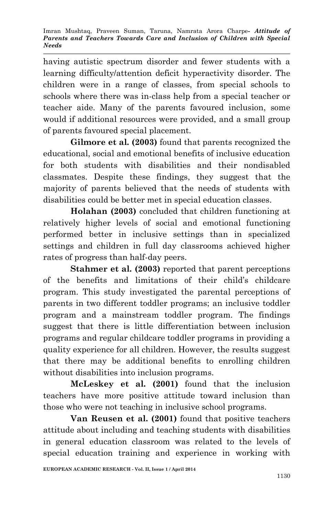having autistic spectrum disorder and fewer students with a learning difficulty/attention deficit hyperactivity disorder. The children were in a range of classes, from special schools to schools where there was in-class help from a special teacher or teacher aide. Many of the parents favoured inclusion, some would if additional resources were provided, and a small group of parents favoured special placement.

**Gilmore et al. (2003)** found that parents recognized the educational, social and emotional benefits of inclusive education for both students with disabilities and their nondisabled classmates. Despite these findings, they suggest that the majority of parents believed that the needs of students with disabilities could be better met in special education classes.

**Holahan (2003)** concluded that children functioning at relatively higher levels of social and emotional functioning performed better in inclusive settings than in specialized settings and children in full day classrooms achieved higher rates of progress than half-day peers.

**Stahmer et al. (2003)** reported that parent perceptions of the benefits and limitations of their child's childcare program. This study investigated the parental perceptions of parents in two different toddler programs; an inclusive toddler program and a mainstream toddler program. The findings suggest that there is little differentiation between inclusion programs and regular childcare toddler programs in providing a quality experience for all children. However, the results suggest that there may be additional benefits to enrolling children without disabilities into inclusion programs.

**McLeskey et al. (2001)** found that the inclusion teachers have more positive attitude toward inclusion than those who were not teaching in inclusive school programs.

**Van Reusen et al. (2001)** found that positive teachers attitude about including and teaching students with disabilities in general education classroom was related to the levels of special education training and experience in working with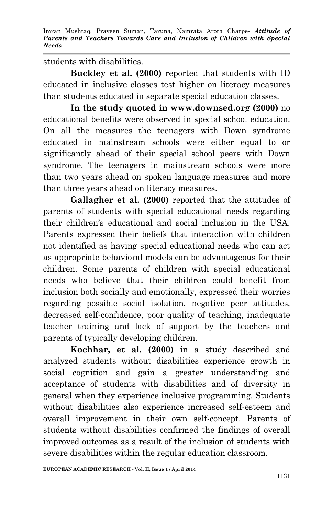students with disabilities.

**Buckley et al. (2000)** reported that students with ID educated in inclusive classes test higher on literacy measures than students educated in separate special education classes.

**In the study quoted in www.downsed.org (2000)** no educational benefits were observed in special school education. On all the measures the teenagers with Down syndrome educated in mainstream schools were either equal to or significantly ahead of their special school peers with Down syndrome. The teenagers in mainstream schools were more than two years ahead on spoken language measures and more than three years ahead on literacy measures.

**Gallagher et al. (2000)** reported that the attitudes of parents of students with special educational needs regarding their children's educational and social inclusion in the USA. Parents expressed their beliefs that interaction with children not identified as having special educational needs who can act as appropriate behavioral models can be advantageous for their children. Some parents of children with special educational needs who believe that their children could benefit from inclusion both socially and emotionally, expressed their worries regarding possible social isolation, negative peer attitudes, decreased self-confidence, poor quality of teaching, inadequate teacher training and lack of support by the teachers and parents of typically developing children.

**Kochhar, et al. (2000)** in a study described and analyzed students without disabilities experience growth in social cognition and gain a greater understanding and acceptance of students with disabilities and of diversity in general when they experience inclusive programming. Students without disabilities also experience increased self-esteem and overall improvement in their own self-concept. Parents of students without disabilities confirmed the findings of overall improved outcomes as a result of the inclusion of students with severe disabilities within the regular education classroom.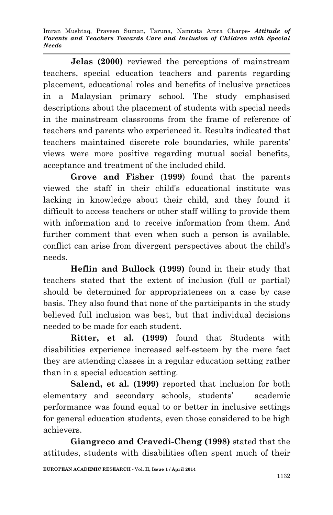**Jelas (2000)** reviewed the perceptions of mainstream teachers, special education teachers and parents regarding placement, educational roles and benefits of inclusive practices in a Malaysian primary school. The study emphasised descriptions about the placement of students with special needs in the mainstream classrooms from the frame of reference of teachers and parents who experienced it. Results indicated that teachers maintained discrete role boundaries, while parents' views were more positive regarding mutual social benefits, acceptance and treatment of the included child.

**Grove and Fisher** (**1999**) found that the parents viewed the staff in their child's educational institute was lacking in knowledge about their child, and they found it difficult to access teachers or other staff willing to provide them with information and to receive information from them. And further comment that even when such a person is available, conflict can arise from divergent perspectives about the child's needs.

**Heflin and Bullock (1999)** found in their study that teachers stated that the extent of inclusion (full or partial) should be determined for appropriateness on a case by case basis. They also found that none of the participants in the study believed full inclusion was best, but that individual decisions needed to be made for each student.

**Ritter, et al. (1999)** found that Students with disabilities experience increased self-esteem by the mere fact they are attending classes in a regular education setting rather than in a special education setting.

**Salend, et al. (1999)** reported that inclusion for both elementary and secondary schools, students' academic performance was found equal to or better in inclusive settings for general education students, even those considered to be high achievers.

**Giangreco and Cravedi-Cheng (1998)** stated that the attitudes, students with disabilities often spent much of their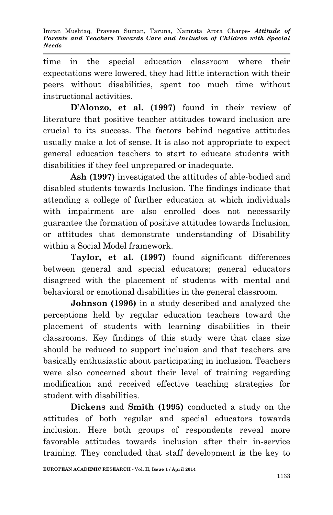time in the special education classroom where their expectations were lowered, they had little interaction with their peers without disabilities, spent too much time without instructional activities.

**D'Alonzo, et al. (1997)** found in their review of literature that positive teacher attitudes toward inclusion are crucial to its success. The factors behind negative attitudes usually make a lot of sense. It is also not appropriate to expect general education teachers to start to educate students with disabilities if they feel unprepared or inadequate.

**Ash (1997)** investigated the attitudes of able-bodied and disabled students towards Inclusion. The findings indicate that attending a college of further education at which individuals with impairment are also enrolled does not necessarily guarantee the formation of positive attitudes towards Inclusion, or attitudes that demonstrate understanding of Disability within a Social Model framework.

**Taylor, et al. (1997)** found significant differences between general and special educators; general educators disagreed with the placement of students with mental and behavioral or emotional disabilities in the general classroom.

**Johnson (1996)** in a study described and analyzed the perceptions held by regular education teachers toward the placement of students with learning disabilities in their classrooms. Key findings of this study were that class size should be reduced to support inclusion and that teachers are basically enthusiastic about participating in inclusion. Teachers were also concerned about their level of training regarding modification and received effective teaching strategies for student with disabilities.

**Dickens** and **Smith (1995)** conducted a study on the attitudes of both regular and special educators towards inclusion. Here both groups of respondents reveal more favorable attitudes towards inclusion after their in-service training. They concluded that staff development is the key to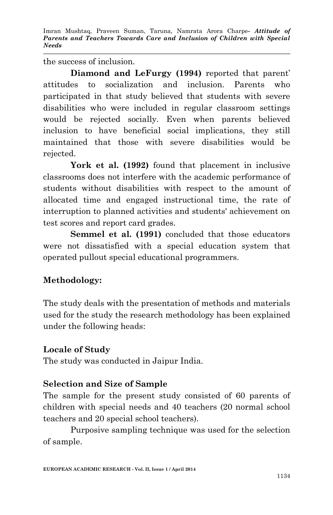the success of inclusion.

**Diamond and LeFurgy (1994)** reported that parent' attitudes to socialization and inclusion. Parents who participated in that study believed that students with severe disabilities who were included in regular classroom settings would be rejected socially. Even when parents believed inclusion to have beneficial social implications, they still maintained that those with severe disabilities would be rejected.

York et al. (1992) found that placement in inclusive classrooms does not interfere with the academic performance of students without disabilities with respect to the amount of allocated time and engaged instructional time, the rate of interruption to planned activities and students' achievement on test scores and report card grades.

**Semmel et al. (1991)** concluded that those educators were not dissatisfied with a special education system that operated pullout special educational programmers.

# **Methodology:**

The study deals with the presentation of methods and materials used for the study the research methodology has been explained under the following heads:

## **Locale of Study**

The study was conducted in Jaipur India.

## **Selection and Size of Sample**

The sample for the present study consisted of 60 parents of children with special needs and 40 teachers (20 normal school teachers and 20 special school teachers).

Purposive sampling technique was used for the selection of sample.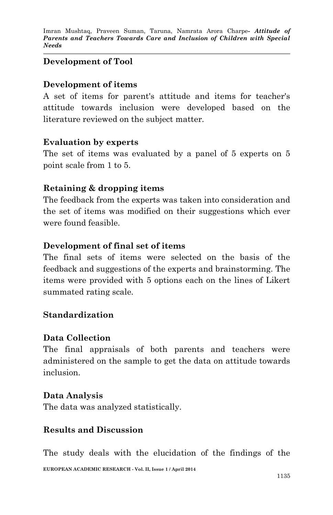### **Development of Tool**

#### **Development of items**

A set of items for parent's attitude and items for teacher's attitude towards inclusion were developed based on the literature reviewed on the subject matter.

#### **Evaluation by experts**

The set of items was evaluated by a panel of 5 experts on 5 point scale from 1 to 5.

#### **Retaining & dropping items**

The feedback from the experts was taken into consideration and the set of items was modified on their suggestions which ever were found feasible.

#### **Development of final set of items**

The final sets of items were selected on the basis of the feedback and suggestions of the experts and brainstorming. The items were provided with 5 options each on the lines of Likert summated rating scale.

#### **Standardization**

#### **Data Collection**

The final appraisals of both parents and teachers were administered on the sample to get the data on attitude towards inclusion.

#### **Data Analysis**

The data was analyzed statistically.

#### **Results and Discussion**

**EUROPEAN ACADEMIC RESEARCH - Vol. II, Issue 1 / April 2014** The study deals with the elucidation of the findings of the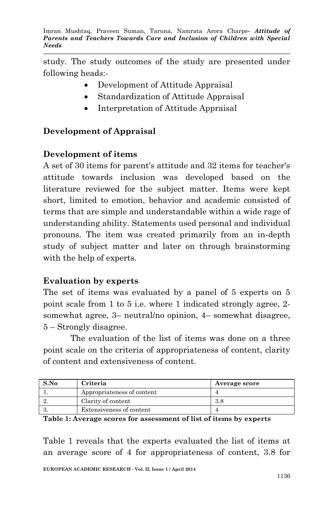study. The study outcomes of the study are presented under following heads:-

- Development of Attitude Appraisal
- Standardization of Attitude Appraisal
- Interpretation of Attitude Appraisal

## **Development of Appraisal**

### **Development of items**

A set of 30 items for parent's attitude and 32 items for teacher's attitude towards inclusion was developed based on the literature reviewed for the subject matter. Items were kept short, limited to emotion, behavior and academic consisted of terms that are simple and understandable within a wide rage of understanding ability. Statements used personal and individual pronouns. The item was created primarily from an in-depth study of subject matter and later on through brainstorming with the help of experts.

#### **Evaluation by experts**

The set of items was evaluated by a panel of 5 experts on 5 point scale from 1 to 5 i.e. where 1 indicated strongly agree, 2 somewhat agree, 3– neutral/no opinion, 4– somewhat disagree, 5 – Strongly disagree.

The evaluation of the list of items was done on a three point scale on the criteria of appropriateness of content, clarity of content and extensiveness of content.

| S.No | Criteria                   | Average score |
|------|----------------------------|---------------|
|      | Appropriateness of content |               |
|      | Clarity of content         | 3.8           |
|      | Extensiveness of content   |               |

**Table 1: Average scores for assessment of list of items by experts**

Table 1 reveals that the experts evaluated the list of items at an average score of 4 for appropriateness of content, 3.8 for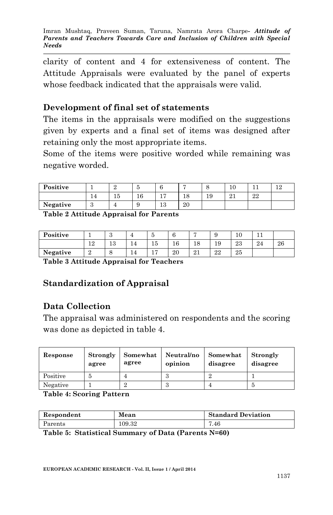clarity of content and 4 for extensiveness of content. The Attitude Appraisals were evaluated by the panel of experts whose feedback indicated that the appraisals were valid.

### **Development of final set of statements**

The items in the appraisals were modified on the suggestions given by experts and a final set of items was designed after retaining only the most appropriate items.

Some of the items were positive worded while remaining was negative worded.

| Positive |           | ັ                    |           |          |    | 10      |    | 1 ດ<br>∸ |
|----------|-----------|----------------------|-----------|----------|----|---------|----|----------|
|          | - ≁<br>Тp | $\overline{ }$<br>ΙU | 17<br>. . | 10<br>10 | 19 | ാ<br>41 | 22 |          |
| Negative | <b>.</b>  |                      | 13        | 20       |    |         |    |          |

**Table 2 Attitude Appraisal for Parents**

| Positive |               | $\Omega$<br>ັ |   | -<br>υ | U  |                  | v  | 10 |    |    |
|----------|---------------|---------------|---|--------|----|------------------|----|----|----|----|
|          | 12            | ោ<br>ŦΩ       | ≖ | <br>ъı | 16 | 18               | 19 | 23 | 24 | 26 |
| Negative | $\Omega$<br>∸ | u             | ≖ |        | 20 | $^{\circ}$<br>41 | 22 | 25 |    |    |

**Table 3 Attitude Appraisal for Teachers**

## **Standardization of Appraisal**

## **Data Collection**

The appraisal was administered on respondents and the scoring was done as depicted in table 4.

| Response | Strongly<br>agree | Somewhat<br>agree | Neutral/no<br>opinion | Somewhat<br>disagree | Strongly<br>disagree |
|----------|-------------------|-------------------|-----------------------|----------------------|----------------------|
| Positive |                   |                   |                       |                      |                      |
| Negative |                   |                   |                       |                      |                      |

**Table 4: Scoring Pattern**

| Respondent                                                                                                                                                                    | Mean   | <b>Standard Deviation</b> |  |
|-------------------------------------------------------------------------------------------------------------------------------------------------------------------------------|--------|---------------------------|--|
| Parents                                                                                                                                                                       | 109.32 | 7.46                      |  |
| $T_1$ , 1, 1, $\mu$ , $\Omega$ , $\Omega$ , $\Omega$ , $\Omega$ , $\Omega$ , $\Omega$ , $\Omega$ , $\Omega$ , $\Omega$ , $\Omega$ , $\Omega$ , $\Omega$ , $\Omega$ , $\Omega$ |        |                           |  |

**Table 5: Statistical Summary of Data (Parents N=60)**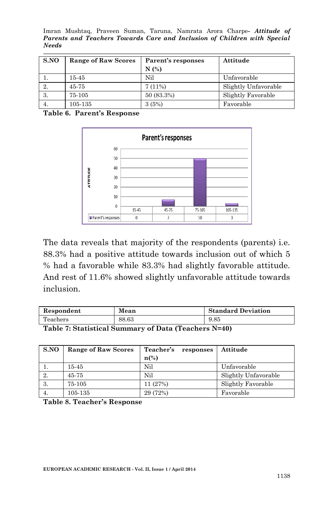Imran Mushtaq, Praveen Suman, Taruna, Namrata Arora Charpe*- Attitude of Parents and Teachers Towards Care and Inclusion of Children with Special Needs*

| SNO | <b>Range of Raw Scores</b> | Parent's responses | Attitude             |
|-----|----------------------------|--------------------|----------------------|
|     |                            | N(%)               |                      |
|     | 15-45                      | Nil                | Unfavorable          |
|     | 45-75                      | 7(11%)             | Slightly Unfavorable |
| 3.  | 75-105                     | 50 (83.3%)         | Slightly Favorable   |
| 4.  | 105-135                    | 3(5%)              | Favorable            |

**Table 6. Parent's Response**



The data reveals that majority of the respondents (parents) i.e. 88.3% had a positive attitude towards inclusion out of which 5 % had a favorable while 83.3% had slightly favorable attitude. And rest of 11.6% showed slightly unfavorable attitude towards inclusion.

| Respondent | Mean  | <b>Standard Deviation</b> |
|------------|-------|---------------------------|
| Teachers   | 88.63 | 9.85                      |

**Table 7: Statistical Summary of Data (Teachers N=40)**

| SNO | <b>Range of Raw Scores</b> | Teacher's<br>responses | Attitude             |
|-----|----------------------------|------------------------|----------------------|
|     |                            | $n\frac{6}{6}$         |                      |
|     | 15-45                      | Nil                    | Unfavorable          |
| 2.  | 45-75                      | Nil                    | Slightly Unfavorable |
| 3.  | 75-105                     | 11 (27%)               | Slightly Favorable   |
| 4.  | 105-135                    | 29 (72%)               | Favorable            |

**Table 8. Teacher's Response**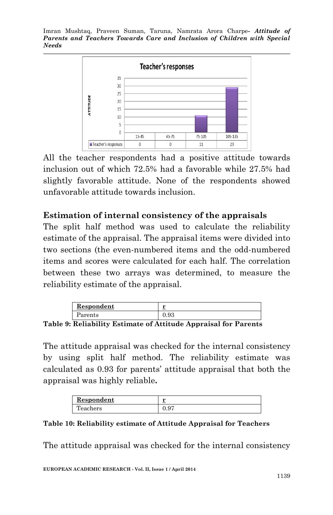

All the teacher respondents had a positive attitude towards inclusion out of which 72.5% had a favorable while 27.5% had slightly favorable attitude. None of the respondents showed unfavorable attitude towards inclusion.

## **Estimation of internal consistency of the appraisals**

The split half method was used to calculate the reliability estimate of the appraisal. The appraisal items were divided into two sections (the even-numbered items and the odd-numbered items and scores were calculated for each half. The correlation between these two arrays was determined, to measure the reliability estimate of the appraisal.

| Respondent | <b>M</b> |
|------------|----------|
| arents     | ີ່       |

**Table 9: Reliability Estimate of Attitude Appraisal for Parents**

The attitude appraisal was checked for the internal consistency by using split half method. The reliability estimate was calculated as 0.93 for parents' attitude appraisal that both the appraisal was highly reliable**.** 

| Respondent | --                |
|------------|-------------------|
| l'eachers  | $\cup \cdot \cup$ |

**Table 10: Reliability estimate of Attitude Appraisal for Teachers**

The attitude appraisal was checked for the internal consistency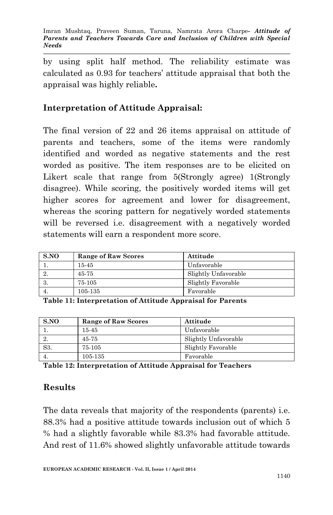by using split half method. The reliability estimate was calculated as 0.93 for teachers' attitude appraisal that both the appraisal was highly reliable**.**

# **Interpretation of Attitude Appraisal:**

The final version of 22 and 26 items appraisal on attitude of parents and teachers, some of the items were randomly identified and worded as negative statements and the rest worded as positive. The item responses are to be elicited on Likert scale that range from 5(Strongly agree) 1(Strongly disagree). While scoring, the positively worded items will get higher scores for agreement and lower for disagreement, whereas the scoring pattern for negatively worded statements will be reversed i.e. disagreement with a negatively worded statements will earn a respondent more score.

| S.NO | <b>Range of Raw Scores</b> | Attitude             |
|------|----------------------------|----------------------|
|      | 15-45                      | Unfavorable          |
|      | 45-75                      | Slightly Unfavorable |
|      | 75-105                     | Slightly Favorable   |
|      | 105-135                    | Favorable            |

**Table 11: Interpretation of Attitude Appraisal for Parents**

| S.NO | <b>Range of Raw Scores</b> | Attitude             |
|------|----------------------------|----------------------|
|      | 15-45                      | Unfavorable          |
|      | 45-75                      | Slightly Unfavorable |
| S3.  | 75-105                     | Slightly Favorable   |
|      | 105-135                    | Favorable            |

**Table 12: Interpretation of Attitude Appraisal for Teachers**

### **Results**

The data reveals that majority of the respondents (parents) i.e. 88.3% had a positive attitude towards inclusion out of which 5 % had a slightly favorable while 83.3% had favorable attitude. And rest of 11.6% showed slightly unfavorable attitude towards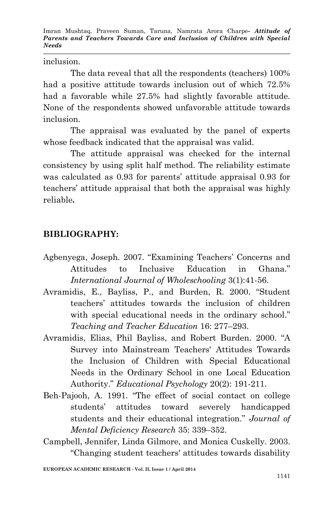inclusion.

The data reveal that all the respondents (teachers) 100% had a positive attitude towards inclusion out of which 72.5% had a favorable while 27.5% had slightly favorable attitude. None of the respondents showed unfavorable attitude towards inclusion.

The appraisal was evaluated by the panel of experts whose feedback indicated that the appraisal was valid.

The attitude appraisal was checked for the internal consistency by using split half method. The reliability estimate was calculated as 0.93 for parents' attitude appraisal 0.93 for teachers' attitude appraisal that both the appraisal was highly reliable**.** 

# **BIBLIOGRAPHY:**

- Agbenyega, Joseph. 2007. "Examining Teachers' Concerns and Attitudes to Inclusive Education in Ghana." *International Journal of Wholeschooling* 3(1):41-56.
- Avramidis, E., Bayliss, P., and Burden, R. 2000. "Student teachers' attitudes towards the inclusion of children with special educational needs in the ordinary school." *Teaching and Teacher Education* 16: 277–293.
- Avramidis, Elias, Phil Bayliss, and Robert Burden. 2000. "A Survey into Mainstream Teachers' Attitudes Towards the Inclusion of Children with Special Educational Needs in the Ordinary School in one Local Education Authority." *Educational Psychology* 20(2): 191-211.
- Beh-Pajooh, A. 1991. "The effect of social contact on college students' attitudes toward severely handicapped students and their educational integration." *Journal of Mental Deficiency Research* 35: 339–352.
- Campbell, Jennifer, Linda Gilmore, and Monica Cuskelly. 2003. "Changing student teachers' attitudes towards disability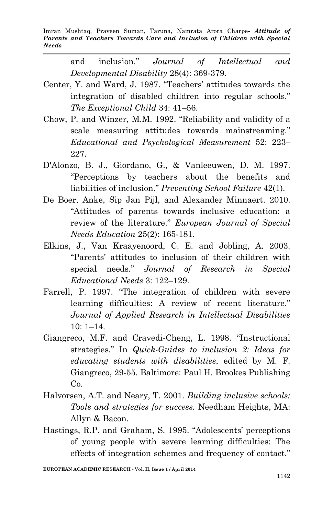> and inclusion." *Journal of Intellectual and Developmental Disability* 28(4): 369-379.

- Center, Y. and Ward, J. 1987. "Teachers' attitudes towards the integration of disabled children into regular schools." *The Exceptional Child* 34: 41–56.
- Chow, P. and Winzer, M.M. 1992. "Reliability and validity of a scale measuring attitudes towards mainstreaming." *Educational and Psychological Measurement* 52: 223– 227.
- D'Alonzo, B. J., Giordano, G., & Vanleeuwen, D. M. 1997. "Perceptions by teachers about the benefits and liabilities of inclusion." *Preventing School Failure* 42(1).
- De Boer, Anke, Sip Jan Pijl, and Alexander Minnaert. 2010. "Attitudes of parents towards inclusive education: a review of the literature." *European Journal of Special Needs Education* 25(2): 165-181.
- Elkins, J., Van Kraayenoord, C. E. and Jobling, A. 2003. "Parents' attitudes to inclusion of their children with special needs." *Journal of Research in Special Educational Needs* 3: 122–129.
- Farrell, P. 1997. "The integration of children with severe learning difficulties: A review of recent literature." *Journal of Applied Research in Intellectual Disabilities* 10: 1–14.
- Giangreco, M.F. and Cravedi-Cheng, L. 1998. "Instructional strategies." In *Quick-Guides to inclusion 2: Ideas for educating students with disabilities*, edited by M. F. Giangreco, 29-55. Baltimore: Paul H. Brookes Publishing Co.
- Halvorsen, A.T. and Neary, T. 2001. *Building inclusive schools: Tools and strategies for success.* Needham Heights, MA: Allyn & Bacon.
- Hastings, R.P. and Graham, S. 1995. "Adolescents' perceptions of young people with severe learning difficulties: The effects of integration schemes and frequency of contact."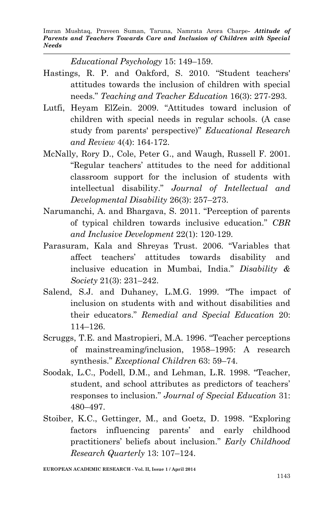*Educational Psychology* 15: 149–159.

- Hastings, R. P. and Oakford, S. 2010. "Student teachers' attitudes towards the inclusion of children with special needs." *Teaching and Teacher Education* 16(3): 277-293.
- Lutfi, Heyam ElZein. 2009. "Attitudes toward inclusion of children with special needs in regular schools. (A case study from parents' perspective)" *Educational Research and Review* 4(4): 164-172.
- McNally, Rory D., Cole, Peter G., and Waugh, Russell F. 2001. "Regular teachers' attitudes to the need for additional classroom support for the inclusion of students with intellectual disability." *Journal of Intellectual and Developmental Disability* 26(3): 257–273.
- Narumanchi, A. and Bhargava, S. 2011. "Perception of parents of typical children towards inclusive education." *CBR and Inclusive Development* 22(1): 120-129.
- Parasuram, Kala and Shreyas Trust. 2006. "Variables that affect teachers' attitudes towards disability and inclusive education in Mumbai, India." *Disability & Society* 21(3): 231–242.
- Salend, S.J. and Duhaney, L.M.G. 1999. "The impact of inclusion on students with and without disabilities and their educators." *Remedial and Special Education* 20: 114–126.
- Scruggs, T.E. and Mastropieri, M.A. 1996. "Teacher perceptions of mainstreaming/inclusion, 1958–1995: A research synthesis." *Exceptional Children* 63: 59–74.
- Soodak, L.C., Podell, D.M., and Lehman, L.R. 1998. "Teacher, student, and school attributes as predictors of teachers' responses to inclusion." *Journal of Special Education* 31: 480–497.
- Stoiber, K.C., Gettinger, M., and Goetz, D. 1998. "Exploring factors influencing parents' and early childhood practitioners' beliefs about inclusion." *Early Childhood Research Quarterly* 13: 107–124.